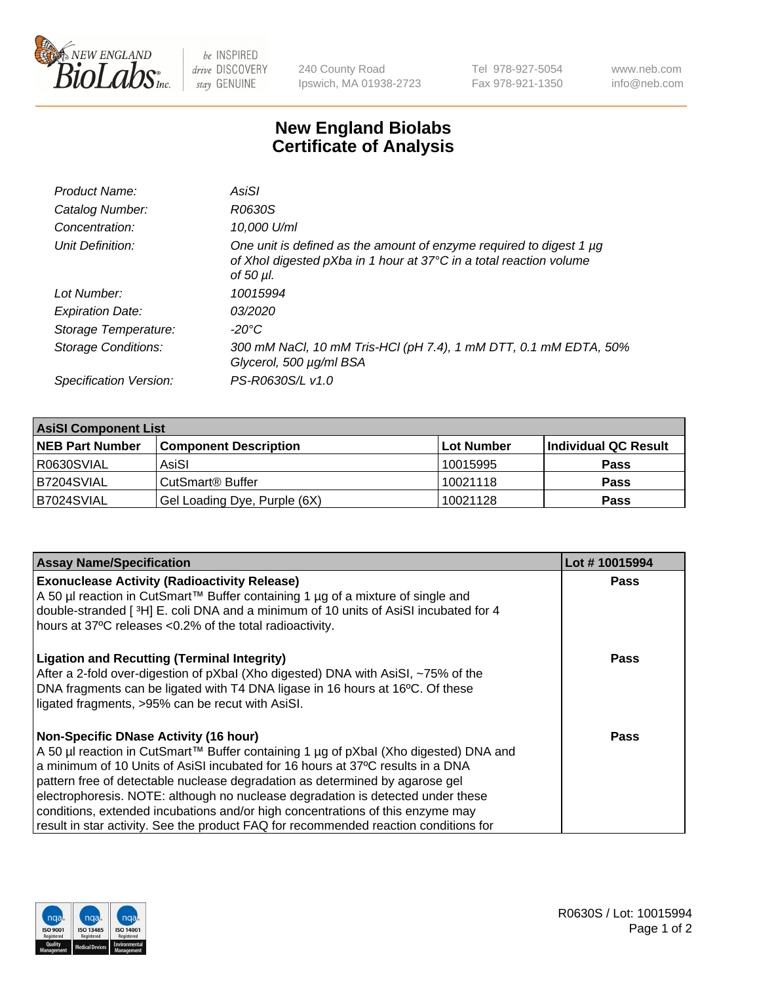

 $be$  INSPIRED drive DISCOVERY stay GENUINE

240 County Road Ipswich, MA 01938-2723 Tel 978-927-5054 Fax 978-921-1350 www.neb.com info@neb.com

## **New England Biolabs Certificate of Analysis**

| Product Name:           | AsiSI                                                                                                                                                       |
|-------------------------|-------------------------------------------------------------------------------------------------------------------------------------------------------------|
| Catalog Number:         | R0630S                                                                                                                                                      |
| Concentration:          | 10,000 U/ml                                                                                                                                                 |
| Unit Definition:        | One unit is defined as the amount of enzyme required to digest 1 µg<br>of Xhol digested pXba in 1 hour at 37°C in a total reaction volume<br>of 50 $\mu$ l. |
| Lot Number:             | 10015994                                                                                                                                                    |
| <b>Expiration Date:</b> | 03/2020                                                                                                                                                     |
| Storage Temperature:    | $-20^{\circ}$ C                                                                                                                                             |
| Storage Conditions:     | 300 mM NaCl, 10 mM Tris-HCl (pH 7.4), 1 mM DTT, 0.1 mM EDTA, 50%<br>Glycerol, 500 µg/ml BSA                                                                 |
| Specification Version:  | PS-R0630S/L v1.0                                                                                                                                            |

| <b>AsiSI Component List</b> |                              |            |                      |  |  |
|-----------------------------|------------------------------|------------|----------------------|--|--|
| <b>NEB Part Number</b>      | <b>Component Description</b> | Lot Number | Individual QC Result |  |  |
| R0630SVIAL                  | AsiSI                        | 10015995   | <b>Pass</b>          |  |  |
| B7204SVIAL                  | CutSmart <sup>®</sup> Buffer | 10021118   | <b>Pass</b>          |  |  |
| B7024SVIAL                  | Gel Loading Dye, Purple (6X) | 10021128   | <b>Pass</b>          |  |  |

| <b>Assay Name/Specification</b>                                                                                                                                                                                               | Lot #10015994 |
|-------------------------------------------------------------------------------------------------------------------------------------------------------------------------------------------------------------------------------|---------------|
| <b>Exonuclease Activity (Radioactivity Release)</b><br>A 50 µl reaction in CutSmart™ Buffer containing 1 µg of a mixture of single and<br>double-stranded [3H] E. coli DNA and a minimum of 10 units of AsiSI incubated for 4 | <b>Pass</b>   |
| hours at 37°C releases <0.2% of the total radioactivity.                                                                                                                                                                      |               |
| <b>Ligation and Recutting (Terminal Integrity)</b><br>After a 2-fold over-digestion of pXbal (Xho digested) DNA with AsiSI, ~75% of the                                                                                       | Pass          |
| DNA fragments can be ligated with T4 DNA ligase in 16 hours at 16°C. Of these<br>ligated fragments, >95% can be recut with AsiSI.                                                                                             |               |
| <b>Non-Specific DNase Activity (16 hour)</b>                                                                                                                                                                                  | Pass          |
| A 50 µl reaction in CutSmart™ Buffer containing 1 µg of pXbal (Xho digested) DNA and                                                                                                                                          |               |
| a minimum of 10 Units of AsiSI incubated for 16 hours at 37°C results in a DNA                                                                                                                                                |               |
| pattern free of detectable nuclease degradation as determined by agarose gel                                                                                                                                                  |               |
| electrophoresis. NOTE: although no nuclease degradation is detected under these                                                                                                                                               |               |
| conditions, extended incubations and/or high concentrations of this enzyme may                                                                                                                                                |               |
| result in star activity. See the product FAQ for recommended reaction conditions for                                                                                                                                          |               |